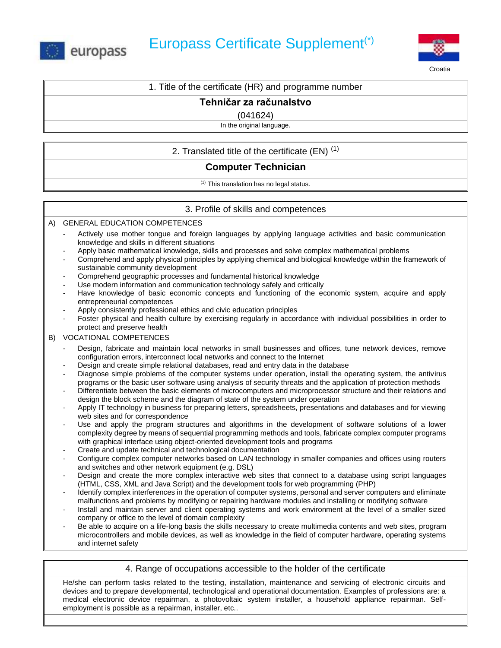



Croatia

## 1. Title of the certificate (HR) and programme number

## **Tehničar za računalstvo**

(041624)

In the original language.

# 2. Translated title of the certificate (EN)  $(1)$

# **Computer Technician**

(1) This translation has no legal status.

## 3. Profile of skills and competences

A) GENERAL EDUCATION COMPETENCES

- Actively use mother tongue and foreign languages by applying language activities and basic communication knowledge and skills in different situations
- Apply basic mathematical knowledge, skills and processes and solve complex mathematical problems
- Comprehend and apply physical principles by applying chemical and biological knowledge within the framework of sustainable community development
- Comprehend geographic processes and fundamental historical knowledge
- Use modern information and communication technology safely and critically
- Have knowledge of basic economic concepts and functioning of the economic system, acquire and apply entrepreneurial competences
- Apply consistently professional ethics and civic education principles
- Foster physical and health culture by exercising regularly in accordance with individual possibilities in order to protect and preserve health

#### B) VOCATIONAL COMPETENCES

- Design, fabricate and maintain local networks in small businesses and offices, tune network devices, remove configuration errors, interconnect local networks and connect to the Internet
- Design and create simple relational databases, read and entry data in the database
- Diagnose simple problems of the computer systems under operation, install the operating system, the antivirus programs or the basic user software using analysis of security threats and the application of protection methods
- Differentiate between the basic elements of microcomputers and microprocessor structure and their relations and design the block scheme and the diagram of state of the system under operation
- Apply IT technology in business for preparing letters, spreadsheets, presentations and databases and for viewing web sites and for correspondence
- Use and apply the program structures and algorithms in the development of software solutions of a lower complexity degree by means of sequential programming methods and tools, fabricate complex computer programs with graphical interface using object-oriented development tools and programs
- Create and update technical and technological documentation
- Configure complex computer networks based on LAN technology in smaller companies and offices using routers and switches and other network equipment (e.g. DSL)
- Design and create the more complex interactive web sites that connect to a database using script languages (HTML, CSS, XML and Java Script) and the development tools for web programming (PHP)
- Identify complex interferences in the operation of computer systems, personal and server computers and eliminate malfunctions and problems by modifying or repairing hardware modules and installing or modifying software
- Install and maintain server and client operating systems and work environment at the level of a smaller sized company or office to the level of domain complexity
- Be able to acquire on a life-long basis the skills necessary to create multimedia contents and web sites, program microcontrollers and mobile devices, as well as knowledge in the field of computer hardware, operating systems and internet safety

### 4. Range of occupations accessible to the holder of the certificate

He/she can perform tasks related to the testing, installation, maintenance and servicing of electronic circuits and devices and to prepare developmental, technological and operational documentation. Examples of professions are: a medical electronic device repairman, a photovoltaic system installer, a household appliance repairman. Selfemployment is possible as a repairman, installer, etc..